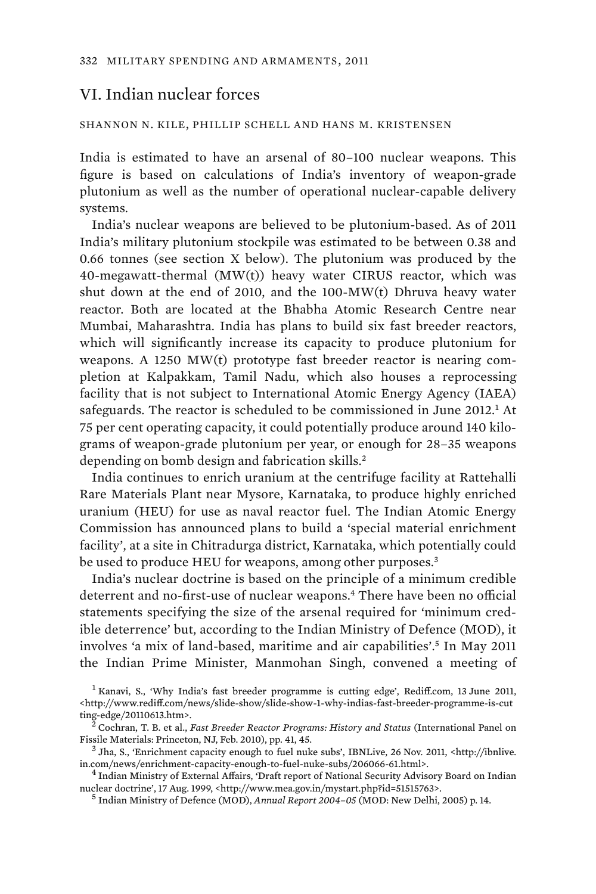# VI. Indian nuclear forces

#### SHANNON N. KILE, PHILLIP SCHELL AND HANS M. KRISTENSEN

India is estimated to have an arsenal of 80–100 nuclear weapons. This figure is based on calculations of India's inventory of weapon-grade plutonium as well as the number of operational nuclear-capable delivery systems.

India's nuclear weapons are believed to be plutonium-based. As of 2011 India's military plutonium stockpile was estimated to be between 0.38 and 0.66 tonnes (see section X below). The plutonium was produced by the 40-megawatt-thermal (MW(t)) heavy water CIRUS reactor, which was shut down at the end of 2010, and the 100-MW(t) Dhruva heavy water reactor. Both are located at the Bhabha Atomic Research Centre near Mumbai, Maharashtra. India has plans to build six fast breeder reactors, which will significantly increase its capacity to produce plutonium for weapons. A 1250 MW(t) prototype fast breeder reactor is nearing completion at Kalpakkam, Tamil Nadu, which also houses a reprocessing facility that is not subject to International Atomic Energy Agency (IAEA) safeguards. The reactor is scheduled to be commissioned in June 2012.<sup>1</sup> At 75 per cent operating capacity, it could potentially produce around 140 kilograms of weapon-grade plutonium per year, or enough for 28–35 weapons depending on bomb design and fabrication skills.<sup>2</sup>

India continues to enrich uranium at the centrifuge facility at Rattehalli Rare Materials Plant near Mysore, Karnataka, to produce highly enriched uranium (HEU) for use as naval reactor fuel. The Indian Atomic Energy Commission has announced plans to build a 'special material enrichment facility', at a site in Chitradurga district, Karnataka, which potentially could be used to produce HEU for weapons, among other purposes.<sup>3</sup>

India's nuclear doctrine is based on the principle of a minimum credible deterrent and no-first-use of nuclear weapons.<sup>4</sup> There have been no official statements specifying the size of the arsenal required for 'minimum credible deterrence' but, according to the Indian Ministry of Defence (MOD), it involves 'a mix of land-based, maritime and air capabilities'.<sup>5</sup> In May 2011 the Indian Prime Minister, Manmohan Singh, convened a meeting of

<sup>&</sup>lt;sup>1</sup> Kanavi, S., 'Why India's fast breeder programme is cutting edge', Rediff.com, 13 June 2011, <http://www.rediff.com/news/slide-show/slide-show-1-why-indias-fast-breeder-programme-is-cut ting-edge/20110613.htm>. <sup>2</sup>

Cochran, T. B. et al., *Fast Breeder Reactor Programs: History and Status* (International Panel on Fissile Materials: Princeton, NJ, Feb. 2010), pp. 41, 45. <sup>3</sup>

 $^3$  Jha, S., 'Enrichment capacity enough to fuel nuke subs', IBNLive, 26 Nov. 2011, <http://ibnlive. in.com/news/enrichment-capacity-enough-to-fuel-nuke-subs/206066-61.html>. <sup>4</sup>

<sup>&</sup>lt;sup>4</sup> Indian Ministry of External Affairs, 'Draft report of National Security Advisory Board on Indian nuclear doctrine', 17 Aug. 1999, <http://www.mea.gov.in/mystart.php?id=51515763>.

<sup>&</sup>lt;sup>5</sup> Indian Ministry of Defence (MOD), *Annual Report 2004–05* (MOD: New Delhi, 2005) p. 14.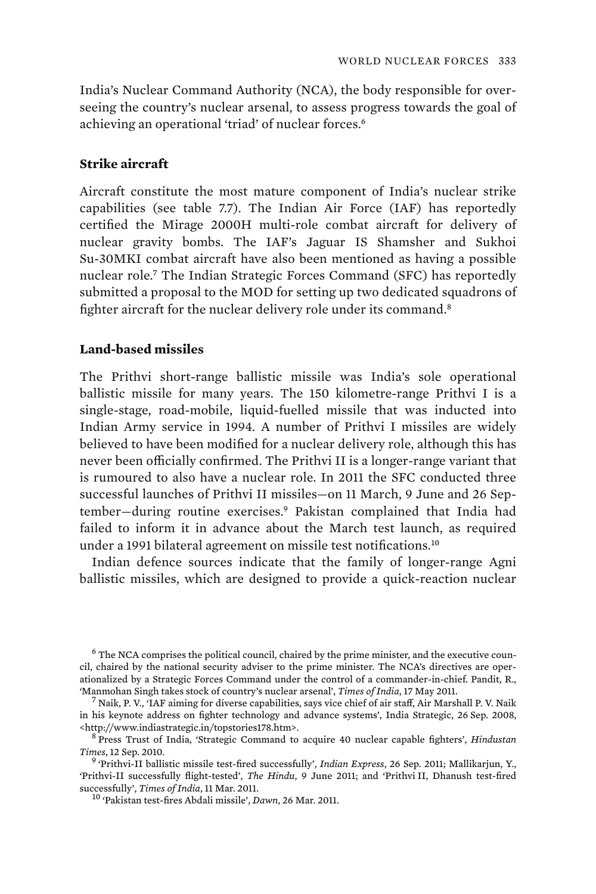India's Nuclear Command Authority (NCA), the body responsible for overseeing the country's nuclear arsenal, to assess progress towards the goal of achieving an operational 'triad' of nuclear forces.<sup>6</sup>

### **Strike aircraft**

Aircraft constitute the most mature component of India's nuclear strike capabilities (see table 7.7). The Indian Air Force (IAF) has reportedly certified the Mirage 2000H multi-role combat aircraft for delivery of nuclear gravity bombs. The IAF's Jaguar IS Shamsher and Sukhoi Su-30MKI combat aircraft have also been mentioned as having a possible nuclear role.<sup>7</sup> The Indian Strategic Forces Command (SFC) has reportedly submitted a proposal to the MOD for setting up two dedicated squadrons of fighter aircraft for the nuclear delivery role under its command.<sup>8</sup>

## **Land-based missiles**

The Prithvi short-range ballistic missile was India's sole operational ballistic missile for many years. The 150 kilometre-range Prithvi I is a single-stage, road-mobile, liquid-fuelled missile that was inducted into Indian Army service in 1994. A number of Prithvi I missiles are widely believed to have been modified for a nuclear delivery role, although this has never been officially confirmed. The Prithvi II is a longer-range variant that is rumoured to also have a nuclear role. In 2011 the SFC conducted three successful launches of Prithvi II missiles—on 11 March, 9 June and 26 September—during routine exercises.<sup>9</sup> Pakistan complained that India had failed to inform it in advance about the March test launch, as required under a 1991 bilateral agreement on missile test notifications.<sup>10</sup>

Indian defence sources indicate that the family of longer-range Agni ballistic missiles, which are designed to provide a quick-reaction nuclear

 $6$  The NCA comprises the political council, chaired by the prime minister, and the executive council, chaired by the national security adviser to the prime minister. The NCA's directives are operationalized by a Strategic Forces Command under the control of a commander-in-chief. Pandit, R., 'Manmohan Singh takes stock of country's nuclear arsenal', *Times of India*, 17 May 2011. <sup>7</sup>

 $<sup>7</sup>$  Naik, P. V., 'IAF aiming for diverse capabilities, says vice chief of air staff, Air Marshall P. V. Naik</sup> in his keynote address on fighter technology and advance systems', India Strategic, 26 Sep. 2008, <http://www.indiastrategic.in/topstories178.htm>. <sup>8</sup>

Press Trust of India, 'Strategic Command to acquire 40 nuclear capable fighters', *Hindustan Times*, 12 Sep. 2010. <sup>9</sup>

 <sup>&#</sup>x27;Prithvi-II ballistic missile test-fired successfully', *Indian Express*, 26 Sep. 2011; Mallikarjun, Y., 'Prithvi-II successfully flight-tested', *The Hindu*, 9 June 2011; and 'Prithvi II, Dhanush test-fired

<sup>&</sup>lt;sup>10</sup> 'Pakistan test-fires Abdali missile', *Dawn*, 26 Mar. 2011.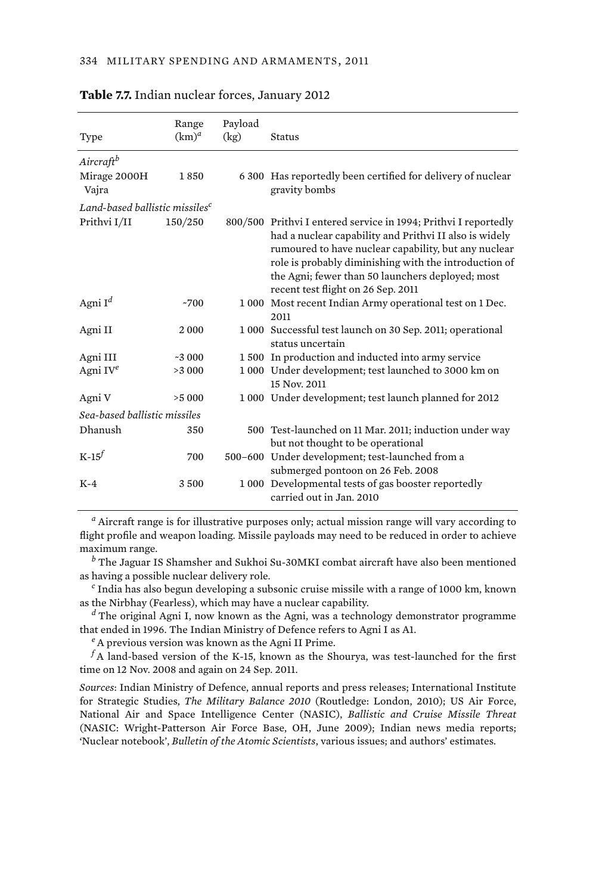| Type                                       | Range<br>$(km)^d$ | Payload<br>(kg) | <b>Status</b>                                                                                                                                                                                                                                                                                                                        |
|--------------------------------------------|-------------------|-----------------|--------------------------------------------------------------------------------------------------------------------------------------------------------------------------------------------------------------------------------------------------------------------------------------------------------------------------------------|
| Aircraftb                                  |                   |                 |                                                                                                                                                                                                                                                                                                                                      |
| Mirage 2000H<br>Vajra                      | 1850              |                 | 6 300 Has reportedly been certified for delivery of nuclear<br>gravity bombs                                                                                                                                                                                                                                                         |
| Land-based ballistic missiles <sup>c</sup> |                   |                 |                                                                                                                                                                                                                                                                                                                                      |
| Prithvi I/II                               | 150/250           |                 | 800/500 Prithvi I entered service in 1994; Prithvi I reportedly<br>had a nuclear capability and Prithvi II also is widely<br>rumoured to have nuclear capability, but any nuclear<br>role is probably diminishing with the introduction of<br>the Agni; fewer than 50 launchers deployed; most<br>recent test flight on 26 Sep. 2011 |
| Agni $I^d$                                 | ~1700             |                 | 1 000 Most recent Indian Army operational test on 1 Dec.<br>2011                                                                                                                                                                                                                                                                     |
| Agni II                                    | 2000              |                 | 1 000 Successful test launch on 30 Sep. 2011; operational<br>status uncertain                                                                                                                                                                                                                                                        |
| Agni III                                   | $-3000$           |                 | 1 500 In production and inducted into army service                                                                                                                                                                                                                                                                                   |
| Agni IV $^e$                               | >3 000            |                 | 1 000 Under development; test launched to 3000 km on<br>15 Nov. 2011                                                                                                                                                                                                                                                                 |
| Agni V                                     | >5000             |                 | 1 000 Under development; test launch planned for 2012                                                                                                                                                                                                                                                                                |
| Sea-based ballistic missiles               |                   |                 |                                                                                                                                                                                                                                                                                                                                      |
| Dhanush                                    | 350               |                 | 500 Test-launched on 11 Mar. 2011; induction under way<br>but not thought to be operational                                                                                                                                                                                                                                          |
| $K-15$                                     | 700               |                 | 500-600 Under development; test-launched from a<br>submerged pontoon on 26 Feb. 2008                                                                                                                                                                                                                                                 |
| $K-4$                                      | 3500              |                 | 1 000 Developmental tests of gas booster reportedly<br>carried out in Jan. 2010                                                                                                                                                                                                                                                      |

#### **Table 7.7.** Indian nuclear forces, January 2012

*a* Aircraft range is for illustrative purposes only; actual mission range will vary according to flight profile and weapon loading. Missile payloads may need to be reduced in order to achieve maximum range.

*b* The Jaguar IS Shamsher and Sukhoi Su-30MKI combat aircraft have also been mentioned as having a possible nuclear delivery role.

*c* India has also begun developing a subsonic cruise missile with a range of 1000 km, known as the Nirbhay (Fearless), which may have a nuclear capability.

*d* The original Agni I, now known as the Agni, was a technology demonstrator programme that ended in 1996. The Indian Ministry of Defence refers to Agni I as A1.

*<sup>e</sup>*A previous version was known as the Agni II Prime.

 $^f\!A$  land-based version of the K-15, known as the Shourya, was test-launched for the first time on 12 Nov. 2008 and again on 24 Sep. 2011.

*Sources*: Indian Ministry of Defence, annual reports and press releases; International Institute for Strategic Studies, *The Military Balance 2010* (Routledge: London, 2010); US Air Force, National Air and Space Intelligence Center (NASIC), *Ballistic and Cruise Missile Threat* (NASIC: Wright-Patterson Air Force Base, OH, June 2009); Indian news media reports; 'Nuclear notebook', *Bulletin of the Atomic Scientists*, various issues; and authors' estimates.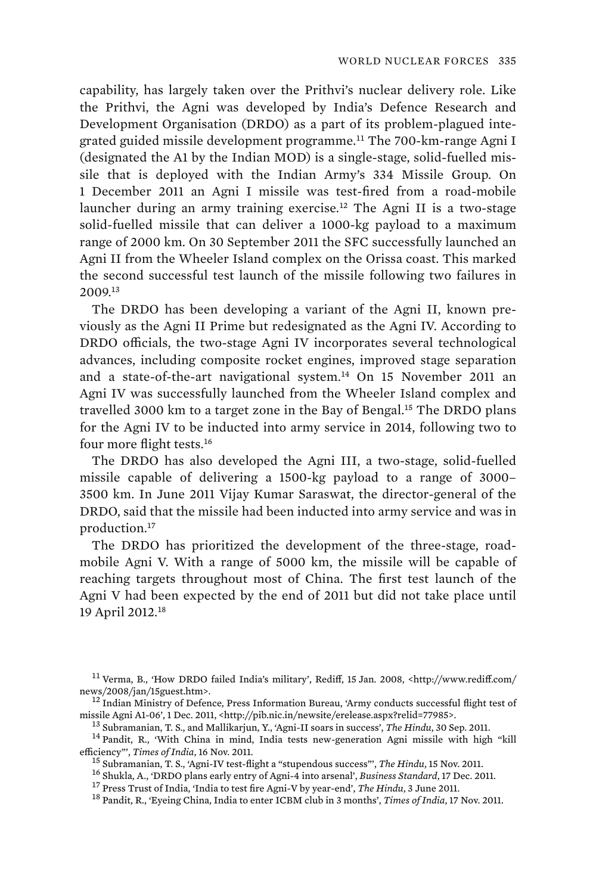capability, has largely taken over the Prithvi's nuclear delivery role. Like the Prithvi, the Agni was developed by India's Defence Research and Development Organisation (DRDO) as a part of its problem-plagued integrated guided missile development programme.<sup>11</sup> The 700-km-range Agni I (designated the A1 by the Indian MOD) is a single-stage, solid-fuelled missile that is deployed with the Indian Army's 334 Missile Group. On 1 December 2011 an Agni I missile was test-fired from a road-mobile launcher during an army training exercise.<sup>12</sup> The Agni II is a two-stage solid-fuelled missile that can deliver a 1000-kg payload to a maximum range of 2000 km. On 30 September 2011 the SFC successfully launched an Agni II from the Wheeler Island complex on the Orissa coast. This marked the second successful test launch of the missile following two failures in 2009.<sup>13</sup>

The DRDO has been developing a variant of the Agni II, known previously as the Agni II Prime but redesignated as the Agni IV. According to DRDO officials, the two-stage Agni IV incorporates several technological advances, including composite rocket engines, improved stage separation and a state-of-the-art navigational system.<sup>14</sup> On 15 November 2011 an Agni IV was successfully launched from the Wheeler Island complex and travelled 3000 km to a target zone in the Bay of Bengal.<sup>15</sup> The DRDO plans for the Agni IV to be inducted into army service in 2014, following two to four more flight tests.<sup>16</sup>

The DRDO has also developed the Agni III, a two-stage, solid-fuelled missile capable of delivering a 1500-kg payload to a range of 3000– 3500 km. In June 2011 Vijay Kumar Saraswat, the director-general of the DRDO, said that the missile had been inducted into army service and was in production.<sup>17</sup>

The DRDO has prioritized the development of the three-stage, roadmobile Agni V. With a range of 5000 km, the missile will be capable of reaching targets throughout most of China. The first test launch of the Agni V had been expected by the end of 2011 but did not take place until 19 April 2012.<sup>18</sup>

 $^{11}$ Verma, B., 'How DRDO failed India's military', Rediff, 15 Jan. 2008, <http://www.rediff.com/ news/2008/jan/15guest.htm>.<br><sup>12</sup> Indian Ministry of Defence, Press Information Bureau, 'Army conducts successful flight test of

missile Agni A1-06', 1 Dec. 2011, <http://pib.nic.in/newsite/erelease.aspx?relid=77985>.  $^{13}$  Subramanian, T. S., and Mallikarjun, Y., 'Agni-II soars in success', *The Hindu*, 30 Sep. 2011.  $^{14}$  Pandit, R., 'With Chin efficiency", *Times of India*, 16 Nov. 2011.<br><sup>15</sup> Subramanian, T. S., 'Agni-IV test-flight a "stupendous success"', *The Hindu*, 15 Nov. 2011.<br><sup>16</sup> Shukla, A., 'DRDO plans early entry of Agni-4 into arsenal', *Business Sta*